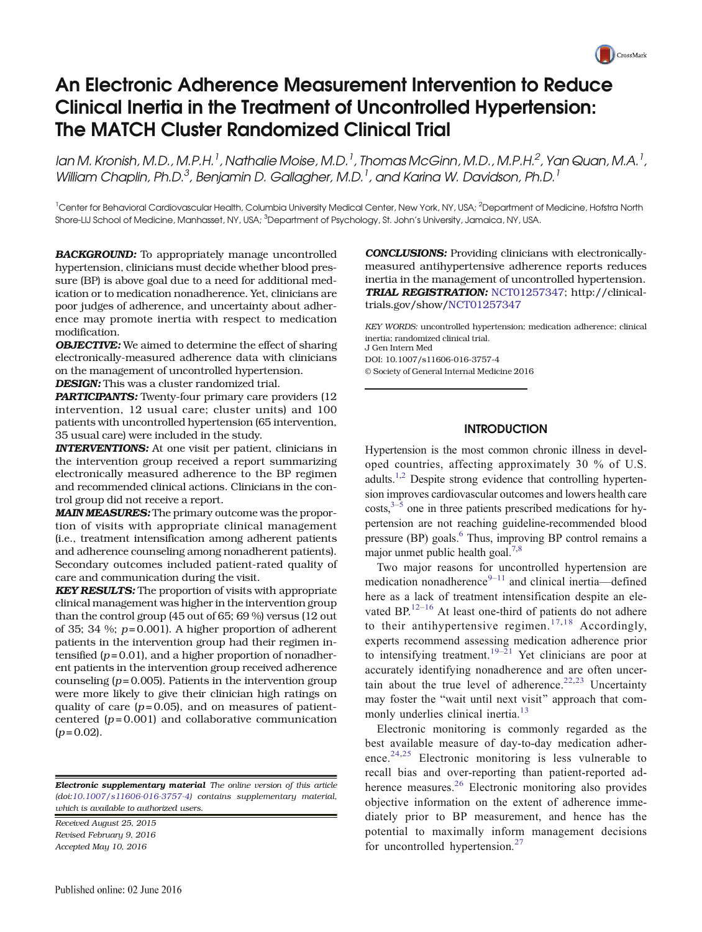# CrossMark

# An Electronic Adherence Measurement Intervention to Reduce Clinical Inertia in the Treatment of Uncontrolled Hypertension: The MATCH Cluster Randomized Clinical Trial

lan M. Kronish, M.D., M.P.H.<sup>1</sup>, Nathalie Moise, M.D.<sup>1</sup>, Thomas McGinn, M.D., M.P.H.<sup>2</sup>, Yan Quan, M.A.<sup>1</sup>, William Chaplin, Ph.D.<sup>3</sup>, Benjamin D. Gallagher, M.D.<sup>1</sup>, and Karina W. Davidson, Ph.D.<sup>1</sup>

<sup>1</sup>Center for Behavioral Cardiovascular Health, Columbia University Medical Center, New York, NY, USA; <sup>2</sup>Department of Medicine, Hofstra North Shore-LIJ School of Medicine, Manhasset, NY, USA; <sup>3</sup>Department of Psychology, St. John's University, Jamaica, NY, USA.

**BACKGROUND:** To appropriately manage uncontrolled hypertension, clinicians must decide whether blood pressure (BP) is above goal due to a need for additional medication or to medication nonadherence. Yet, clinicians are poor judges of adherence, and uncertainty about adherence may promote inertia with respect to medication modification.

**OBJECTIVE:** We aimed to determine the effect of sharing electronically-measured adherence data with clinicians on the management of uncontrolled hypertension.

DESIGN: This was a cluster randomized trial.

PARTICIPANTS: Twenty-four primary care providers (12 intervention, 12 usual care; cluster units) and 100 patients with uncontrolled hypertension (65 intervention, 35 usual care) were included in the study.

INTERVENTIONS: At one visit per patient, clinicians in the intervention group received a report summarizing electronically measured adherence to the BP regimen and recommended clinical actions. Clinicians in the control group did not receive a report.

MAIN MEASURES: The primary outcome was the proportion of visits with appropriate clinical management (i.e., treatment intensification among adherent patients and adherence counseling among nonadherent patients). Secondary outcomes included patient-rated quality of care and communication during the visit.

KEY RESULTS: The proportion of visits with appropriate clinical management was higher in the intervention group than the control group (45 out of 65; 69 %) versus (12 out of 35; 34 %;  $p = 0.001$ ). A higher proportion of adherent patients in the intervention group had their regimen intensified  $(p=0.01)$ , and a higher proportion of nonadherent patients in the intervention group received adherence counseling  $(p = 0.005)$ . Patients in the intervention group were more likely to give their clinician high ratings on quality of care ( $p = 0.05$ ), and on measures of patientcentered  $(p=0.001)$  and collaborative communication  $(p=0.02)$ .

Electronic supplementary material The online version of this article (doi[:10.1007/s11606-016-3757-4\)](http://dx.doi.org/http://clinicaltrials.gov/show/NCT01257347) contains supplementary material, which is available to authorized users.

Received August 25, 2015 Revised February 9, 2016 Accepted May 10, 2016

CONCLUSIONS: Providing clinicians with electronicallymeasured antihypertensive adherence reports reduces inertia in the management of uncontrolled hypertension. TRIAL REGISTRATION: [NCT01257347;](http://clinicaltrials.gov/show/NCT01257347) http://clinicaltrials.gov/show/[NCT01257347](http://clinicaltrials.gov/show/NCT01257347)

KEY WORDS: uncontrolled hypertension; medication adherence; clinical inertia; randomized clinical trial. J Gen Intern Med

DOI: 10.1007/s11606-016-3757-4 © Society of General Internal Medicine 2016

#### **INTRODUCTION**

Hypertension is the most common chronic illness in developed countries, affecting approximately 30 % of U.S. adults.<sup>1,2</sup> Despite strong evidence that controlling hypertension improves cardiovascular outcomes and lowers health care  $\text{costs},^{3-5}$  $\text{costs},^{3-5}$  $\text{costs},^{3-5}$  one in three patients prescribed medications for hypertension are not reaching guideline-recommended blood pressure (BP) goals.<sup>6</sup> Thus, improving BP control remains a major unmet public health goal. $7,8$ 

Two major reasons for uncontrolled hypertension are medication nonadherence $9-11$  $9-11$  $9-11$  and clinical inertia-defined here as a lack of treatment intensification despite an ele-vated BP.<sup>[12](#page-6-0)–[16](#page-6-0)</sup> At least one-third of patients do not adhere to their antihypertensive regimen.<sup>[17,18](#page-6-0)</sup> Accordingly, experts recommend assessing medication adherence prior to intensifying treatment.<sup>[19](#page-6-0)–[21](#page-6-0)</sup> Yet clinicians are poor at accurately identifying nonadherence and are often uncer-tain about the true level of adherence.<sup>[22,23](#page-6-0)</sup> Uncertainty may foster the "wait until next visit" approach that com-monly underlies clinical inertia.<sup>[13](#page-6-0)</sup>

Electronic monitoring is commonly regarded as the best available measure of day-to-day medication adher-ence.<sup>[24](#page-6-0),[25](#page-6-0)</sup> Electronic monitoring is less vulnerable to recall bias and over-reporting than patient-reported ad-herence measures.<sup>[26](#page-6-0)</sup> Electronic monitoring also provides objective information on the extent of adherence immediately prior to BP measurement, and hence has the potential to maximally inform management decisions for uncontrolled hypertension.<sup>[27](#page-6-0)</sup>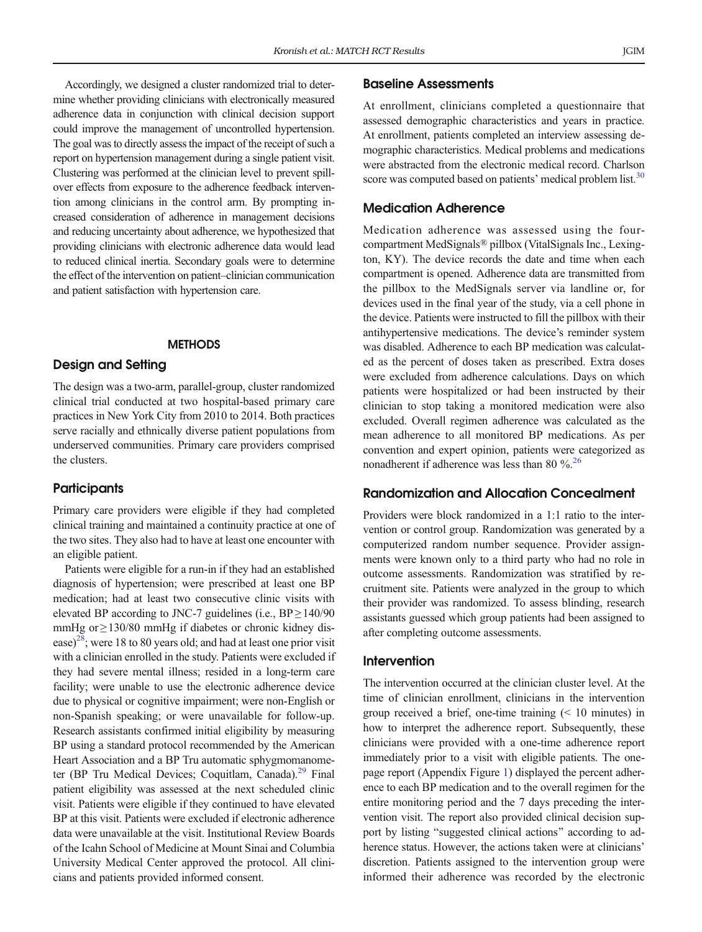Accordingly, we designed a cluster randomized trial to determine whether providing clinicians with electronically measured adherence data in conjunction with clinical decision support could improve the management of uncontrolled hypertension. The goal was to directly assess the impact of the receipt of such a report on hypertension management during a single patient visit. Clustering was performed at the clinician level to prevent spillover effects from exposure to the adherence feedback intervention among clinicians in the control arm. By prompting increased consideration of adherence in management decisions and reducing uncertainty about adherence, we hypothesized that providing clinicians with electronic adherence data would lead to reduced clinical inertia. Secondary goals were to determine the effect of the intervention on patient–clinician communication and patient satisfaction with hypertension care.

#### **METHODS**

## Design and Setting

The design was a two-arm, parallel-group, cluster randomized clinical trial conducted at two hospital-based primary care practices in New York City from 2010 to 2014. Both practices serve racially and ethnically diverse patient populations from underserved communities. Primary care providers comprised the clusters.

### **Participants**

Primary care providers were eligible if they had completed clinical training and maintained a continuity practice at one of the two sites. They also had to have at least one encounter with an eligible patient.

Patients were eligible for a run-in if they had an established diagnosis of hypertension; were prescribed at least one BP medication; had at least two consecutive clinic visits with elevated BP according to JNC-7 guidelines (i.e.,  $BP \ge 140/90$ mmHg or  $\geq$  130/80 mmHg if diabetes or chronic kidney disease) $^{28}$  $^{28}$  $^{28}$ ; were 18 to 80 years old; and had at least one prior visit with a clinician enrolled in the study. Patients were excluded if they had severe mental illness; resided in a long-term care facility; were unable to use the electronic adherence device due to physical or cognitive impairment; were non-English or non-Spanish speaking; or were unavailable for follow-up. Research assistants confirmed initial eligibility by measuring BP using a standard protocol recommended by the American Heart Association and a BP Tru automatic sphygmomanome-ter (BP Tru Medical Devices; Coquitlam, Canada).<sup>[29](#page-6-0)</sup> Final patient eligibility was assessed at the next scheduled clinic visit. Patients were eligible if they continued to have elevated BP at this visit. Patients were excluded if electronic adherence data were unavailable at the visit. Institutional Review Boards of the Icahn School of Medicine at Mount Sinai and Columbia University Medical Center approved the protocol. All clinicians and patients provided informed consent.

#### Baseline Assessments

At enrollment, clinicians completed a questionnaire that assessed demographic characteristics and years in practice. At enrollment, patients completed an interview assessing demographic characteristics. Medical problems and medications were abstracted from the electronic medical record. Charlson score was computed based on patients' medical problem list.<sup>[30](#page-6-0)</sup>

#### Medication Adherence

Medication adherence was assessed using the fourcompartment MedSignals® pillbox (VitalSignals Inc., Lexington, KY). The device records the date and time when each compartment is opened. Adherence data are transmitted from the pillbox to the MedSignals server via landline or, for devices used in the final year of the study, via a cell phone in the device. Patients were instructed to fill the pillbox with their antihypertensive medications. The device's reminder system was disabled. Adherence to each BP medication was calculated as the percent of doses taken as prescribed. Extra doses were excluded from adherence calculations. Days on which patients were hospitalized or had been instructed by their clinician to stop taking a monitored medication were also excluded. Overall regimen adherence was calculated as the mean adherence to all monitored BP medications. As per convention and expert opinion, patients were categorized as nonadherent if adherence was less than 80  $\%$ .<sup>26</sup>

## Randomization and Allocation Concealment

Providers were block randomized in a 1:1 ratio to the intervention or control group. Randomization was generated by a computerized random number sequence. Provider assignments were known only to a third party who had no role in outcome assessments. Randomization was stratified by recruitment site. Patients were analyzed in the group to which their provider was randomized. To assess blinding, research assistants guessed which group patients had been assigned to after completing outcome assessments.

#### Intervention

The intervention occurred at the clinician cluster level. At the time of clinician enrollment, clinicians in the intervention group received a brief, one-time training (< 10 minutes) in how to interpret the adherence report. Subsequently, these clinicians were provided with a one-time adherence report immediately prior to a visit with eligible patients. The onepage report (Appendix Figure 1) displayed the percent adherence to each BP medication and to the overall regimen for the entire monitoring period and the 7 days preceding the intervention visit. The report also provided clinical decision support by listing "suggested clinical actions" according to adherence status. However, the actions taken were at clinicians' discretion. Patients assigned to the intervention group were informed their adherence was recorded by the electronic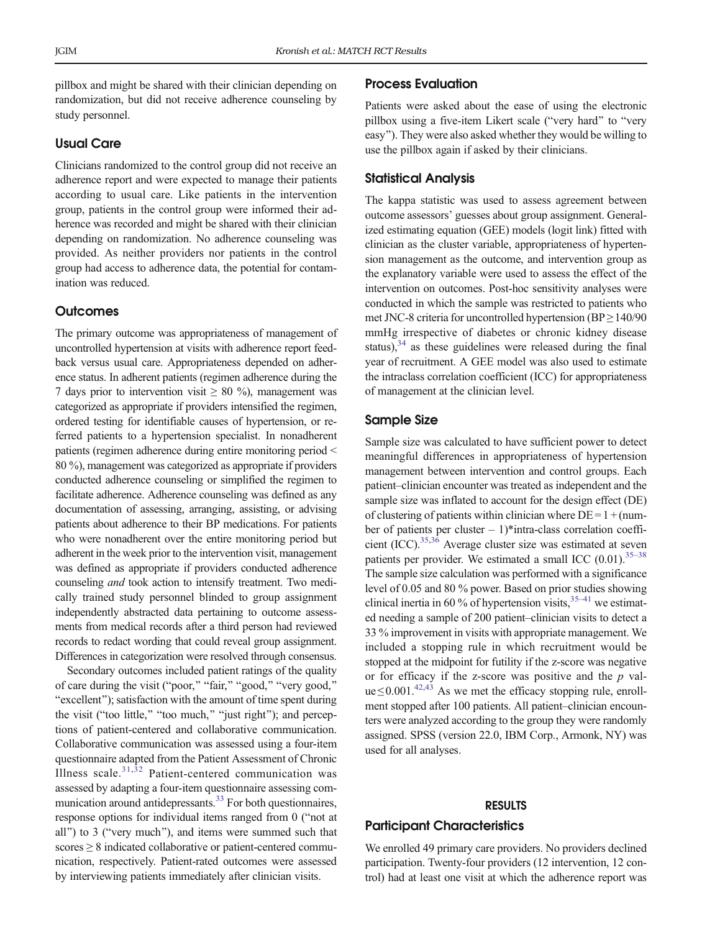pillbox and might be shared with their clinician depending on randomization, but did not receive adherence counseling by study personnel.

# Usual Care

Clinicians randomized to the control group did not receive an adherence report and were expected to manage their patients according to usual care. Like patients in the intervention group, patients in the control group were informed their adherence was recorded and might be shared with their clinician depending on randomization. No adherence counseling was provided. As neither providers nor patients in the control group had access to adherence data, the potential for contamination was reduced.

## **Outcomes**

The primary outcome was appropriateness of management of uncontrolled hypertension at visits with adherence report feedback versus usual care. Appropriateness depended on adherence status. In adherent patients (regimen adherence during the 7 days prior to intervention visit  $\geq 80$  %), management was categorized as appropriate if providers intensified the regimen, ordered testing for identifiable causes of hypertension, or referred patients to a hypertension specialist. In nonadherent patients (regimen adherence during entire monitoring period < 80 %), management was categorized as appropriate if providers conducted adherence counseling or simplified the regimen to facilitate adherence. Adherence counseling was defined as any documentation of assessing, arranging, assisting, or advising patients about adherence to their BP medications. For patients who were nonadherent over the entire monitoring period but adherent in the week prior to the intervention visit, management was defined as appropriate if providers conducted adherence counseling and took action to intensify treatment. Two medically trained study personnel blinded to group assignment independently abstracted data pertaining to outcome assessments from medical records after a third person had reviewed records to redact wording that could reveal group assignment. Differences in categorization were resolved through consensus.

Secondary outcomes included patient ratings of the quality of care during the visit ("poor," "fair," "good," "very good," "excellent"); satisfaction with the amount of time spent during the visit ("too little," "too much," "just right"); and perceptions of patient-centered and collaborative communication. Collaborative communication was assessed using a four-item questionnaire adapted from the Patient Assessment of Chronic Illness scale. $31,32$  $31,32$  $31,32$  Patient-centered communication was assessed by adapting a four-item questionnaire assessing communication around antidepressants.<sup>33</sup> For both questionnaires, response options for individual items ranged from 0 ("not at all") to 3 ("very much"), and items were summed such that scores ≥ 8 indicated collaborative or patient-centered communication, respectively. Patient-rated outcomes were assessed by interviewing patients immediately after clinician visits.

#### Process Evaluation

Patients were asked about the ease of using the electronic pillbox using a five-item Likert scale ("very hard" to "very easy^). They were also asked whether they would be willing to use the pillbox again if asked by their clinicians.

## Statistical Analysis

The kappa statistic was used to assess agreement between outcome assessors' guesses about group assignment. Generalized estimating equation (GEE) models (logit link) fitted with clinician as the cluster variable, appropriateness of hypertension management as the outcome, and intervention group as the explanatory variable were used to assess the effect of the intervention on outcomes. Post-hoc sensitivity analyses were conducted in which the sample was restricted to patients who met JNC-8 criteria for uncontrolled hypertension (BP ≥ 140/90 mmHg irrespective of diabetes or chronic kidney disease status), $34$  as these guidelines were released during the final year of recruitment. A GEE model was also used to estimate the intraclass correlation coefficient (ICC) for appropriateness of management at the clinician level.

## Sample Size

Sample size was calculated to have sufficient power to detect meaningful differences in appropriateness of hypertension management between intervention and control groups. Each patient–clinician encounter was treated as independent and the sample size was inflated to account for the design effect (DE) of clustering of patients within clinician where  $DE = 1 + (num$ ber of patients per cluster  $-1$ <sup>\*</sup>intra-class correlation coeffi-cient (ICC).<sup>[35,36](#page-6-0)</sup> Average cluster size was estimated at seven patients per provider. We estimated a small ICC  $(0.01)$ .<sup>[35](#page-6-0)–[38](#page-6-0)</sup> The sample size calculation was performed with a significance level of 0.05 and 80 % power. Based on prior studies showing clinical inertia in 60 % of hypertension visits,  $35-41$  $35-41$  we estimated needing a sample of 200 patient–clinician visits to detect a 33 % improvement in visits with appropriate management. We included a stopping rule in which recruitment would be stopped at the midpoint for futility if the z-score was negative or for efficacy if the z-score was positive and the  $p$  val $ue \leq 0.001$ .<sup>[42,43](#page-6-0)</sup> As we met the efficacy stopping rule, enrollment stopped after 100 patients. All patient–clinician encounters were analyzed according to the group they were randomly assigned. SPSS (version 22.0, IBM Corp., Armonk, NY) was used for all analyses.

#### RESULTS

#### Participant Characteristics

We enrolled 49 primary care providers. No providers declined participation. Twenty-four providers (12 intervention, 12 control) had at least one visit at which the adherence report was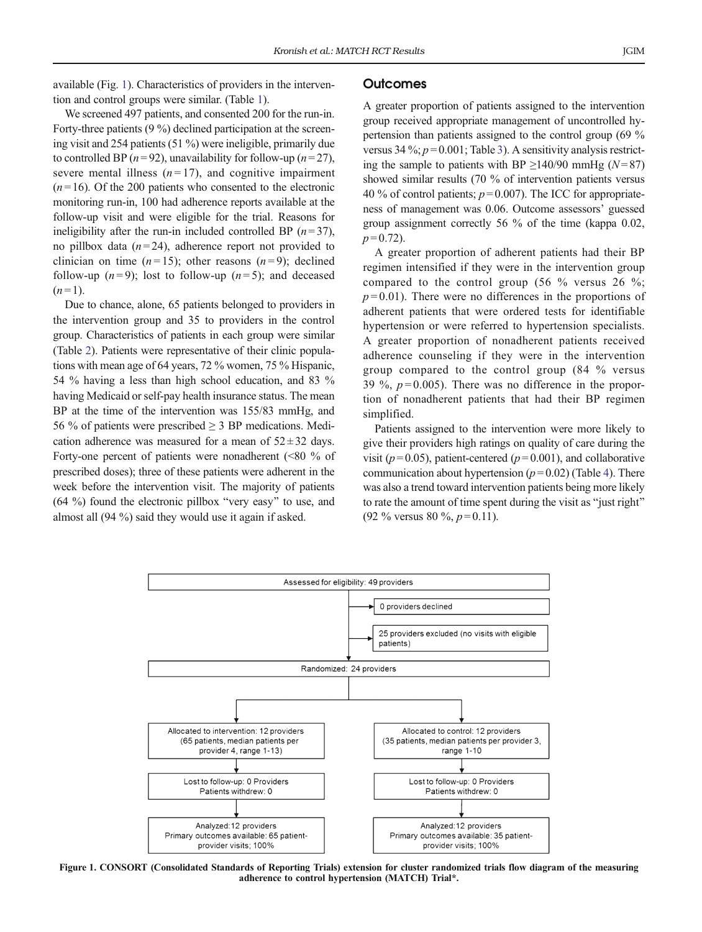available (Fig. 1). Characteristics of providers in the intervention and control groups were similar. (Table [1](#page-4-0)).

We screened 497 patients, and consented 200 for the run-in. Forty-three patients (9 %) declined participation at the screening visit and 254 patients (51 %) were ineligible, primarily due to controlled BP ( $n = 92$ ), unavailability for follow-up ( $n = 27$ ), severe mental illness  $(n=17)$ , and cognitive impairment  $(n=16)$ . Of the 200 patients who consented to the electronic monitoring run-in, 100 had adherence reports available at the follow-up visit and were eligible for the trial. Reasons for ineligibility after the run-in included controlled BP  $(n=37)$ , no pillbox data  $(n=24)$ , adherence report not provided to clinician on time  $(n=15)$ ; other reasons  $(n=9)$ ; declined follow-up  $(n=9)$ ; lost to follow-up  $(n=5)$ ; and deceased  $(n=1)$ .

Due to chance, alone, 65 patients belonged to providers in the intervention group and 35 to providers in the control group. Characteristics of patients in each group were similar (Table [2](#page-4-0)). Patients were representative of their clinic populations with mean age of 64 years, 72 % women, 75 % Hispanic, 54 % having a less than high school education, and 83 % having Medicaid or self-pay health insurance status. The mean BP at the time of the intervention was 155/83 mmHg, and 56 % of patients were prescribed  $\geq$  3 BP medications. Medication adherence was measured for a mean of  $52 \pm 32$  days. Forty-one percent of patients were nonadherent (<80 % of prescribed doses); three of these patients were adherent in the week before the intervention visit. The majority of patients  $(64 \%)$  found the electronic pillbox "very easy" to use, and almost all (94 %) said they would use it again if asked.

## **Outcomes**

A greater proportion of patients assigned to the intervention group received appropriate management of uncontrolled hypertension than patients assigned to the control group (69 % versus  $34\%$ ;  $p=0.001$ ; Table [3\)](#page-4-0). A sensitivity analysis restricting the sample to patients with BP  $\geq$ 140/90 mmHg (N=87) showed similar results (70 % of intervention patients versus 40 % of control patients;  $p=0.007$ ). The ICC for appropriateness of management was 0.06. Outcome assessors' guessed group assignment correctly 56 % of the time (kappa 0.02,  $p = 0.72$ ).

A greater proportion of adherent patients had their BP regimen intensified if they were in the intervention group compared to the control group (56 % versus 26 %;  $p=0.01$ ). There were no differences in the proportions of adherent patients that were ordered tests for identifiable hypertension or were referred to hypertension specialists. A greater proportion of nonadherent patients received adherence counseling if they were in the intervention group compared to the control group (84 % versus 39 %,  $p=0.005$ ). There was no difference in the proportion of nonadherent patients that had their BP regimen simplified.

Patients assigned to the intervention were more likely to give their providers high ratings on quality of care during the visit ( $p = 0.05$ ), patient-centered ( $p = 0.001$ ), and collaborative communication about hypertension ( $p = 0.02$ ) (Table [4\)](#page-4-0). There was also a trend toward intervention patients being more likely to rate the amount of time spent during the visit as "just right" (92 % versus 80 %,  $p=0.11$ ).



Figure 1. CONSORT (Consolidated Standards of Reporting Trials) extension for cluster randomized trials flow diagram of the measuring adherence to control hypertension (MATCH) Trial\*.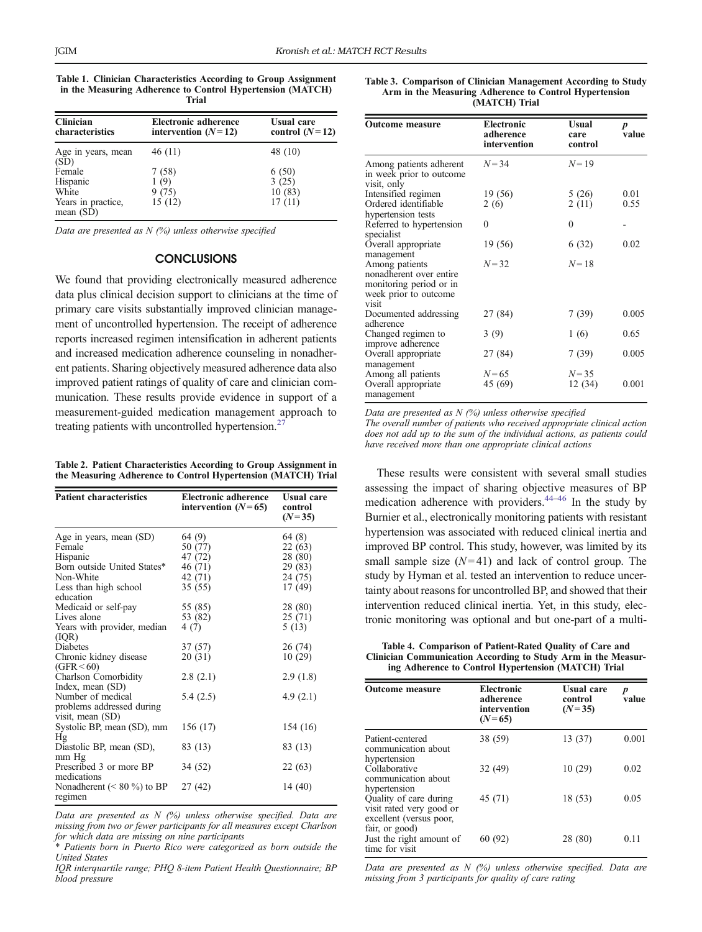<span id="page-4-0"></span>Table 1. Clinician Characteristics According to Group Assignment in the Measuring Adherence to Control Hypertension (MATCH) Trial

| <b>Clinician</b><br>characteristics | Electronic adherence<br>intervention $(N=12)$ | <b>Usual care</b><br>control $(N=12)$ |
|-------------------------------------|-----------------------------------------------|---------------------------------------|
| Age in years, mean<br>(SD)          | 46(11)                                        | 48 (10)                               |
| Female                              | 7(58)                                         | 6(50)                                 |
| Hispanic                            | 1(9)                                          | 3(25)                                 |
| White                               | 9(75)                                         | 10(83)                                |
| Years in practice,<br>mean $(SD)$   | 15(12)                                        | 17(11)                                |

Data are presented as  $N$  (%) unless otherwise specified

#### **CONCLUSIONS**

We found that providing electronically measured adherence data plus clinical decision support to clinicians at the time of primary care visits substantially improved clinician management of uncontrolled hypertension. The receipt of adherence reports increased regimen intensification in adherent patients and increased medication adherence counseling in nonadherent patients. Sharing objectively measured adherence data also improved patient ratings of quality of care and clinician communication. These results provide evidence in support of a measurement-guided medication management approach to treating patients with uncontrolled hypertension. $27$ 

Table 2. Patient Characteristics According to Group Assignment in the Measuring Adherence to Control Hypertension (MATCH) Trial

| <b>Patient characteristics</b>           | <b>Electronic adherence</b><br>intervention $(N=65)$ | Usual care<br>control<br>$(N=35)$ |
|------------------------------------------|------------------------------------------------------|-----------------------------------|
| Age in years, mean (SD)                  | 64 (9)                                               | 64 (8)                            |
| Female                                   | 50 (77)                                              | 22 (63)                           |
| Hispanic                                 | 47 (72)                                              | 28 (80)                           |
| Born outside United States*              | 46 (71)                                              | 29 (83)                           |
| Non-White                                | 42 (71)                                              | 24 (75)                           |
| Less than high school<br>education       | 35 (55)                                              | 17 (49)                           |
| Medicaid or self-pay                     | 55 (85)                                              | 28 (80)                           |
| Lives alone                              | 53 (82)                                              | 25 (71)                           |
| Years with provider, median              | 4 (7)                                                | 5(13)                             |
| ( IQR)                                   |                                                      |                                   |
| <b>Diabetes</b>                          | 37 (57)                                              | 26 (74)                           |
| Chronic kidney disease                   | 20 (31)                                              | 10(29)                            |
| (GFR < 60)                               |                                                      |                                   |
| Charlson Comorbidity                     | 2.8(2.1)                                             | 2.9(1.8)                          |
| Index, mean (SD)                         |                                                      |                                   |
| Number of medical                        | 5.4(2.5)                                             | 4.9(2.1)                          |
| problems addressed during                |                                                      |                                   |
| visit, mean (SD)                         |                                                      |                                   |
| Systolic BP, mean (SD), mm               | 156 (17)                                             | 154 (16)                          |
| Hg                                       |                                                      |                                   |
| Diastolic BP, mean (SD),                 | 83 (13)                                              | 83 (13)                           |
| mm Hg                                    |                                                      |                                   |
| Prescribed 3 or more BP                  | 34 (52)                                              | 22 (63)                           |
| medications                              |                                                      |                                   |
| Nonadherent $(< 80 %$ ) to BP<br>regimen | 27 (42)                                              | 14 (40)                           |
|                                          |                                                      |                                   |

Data are presented as  $N$  (%) unless otherwise specified. Data are missing from two or fewer participants for all measures except Charlson for which data are missing on nine participants

\* Patients born in Puerto Rico were categorized as born outside the United States

IQR interquartile range; PHQ 8-item Patient Health Questionnaire; BP blood pressure

| Table 3. Comparison of Clinician Management According to Study |
|----------------------------------------------------------------|
| Arm in the Measuring Adherence to Control Hypertension         |
| (MATCH) Trial                                                  |

| <b>Electronic</b><br>adherence<br>intervention | <b>Usual</b><br>care<br>control                                      | p<br>value                                                      |
|------------------------------------------------|----------------------------------------------------------------------|-----------------------------------------------------------------|
| $N = 34$                                       | $N = 19$                                                             |                                                                 |
|                                                |                                                                      | 0.01                                                            |
|                                                |                                                                      | 0.55                                                            |
|                                                |                                                                      |                                                                 |
| $\theta$                                       | $\theta$                                                             |                                                                 |
|                                                |                                                                      | 0.02                                                            |
|                                                |                                                                      |                                                                 |
|                                                |                                                                      |                                                                 |
|                                                |                                                                      |                                                                 |
|                                                |                                                                      |                                                                 |
|                                                |                                                                      |                                                                 |
|                                                |                                                                      |                                                                 |
|                                                |                                                                      | 0.005                                                           |
|                                                |                                                                      |                                                                 |
|                                                |                                                                      | 0.65                                                            |
|                                                |                                                                      |                                                                 |
|                                                |                                                                      | 0.005                                                           |
|                                                |                                                                      |                                                                 |
| $N = 65$                                       | $N = 35$                                                             |                                                                 |
| 45 (69)                                        | 12(34)                                                               | 0.001                                                           |
|                                                |                                                                      |                                                                 |
|                                                | 19 (56)<br>2(6)<br>19 (56)<br>$N = 32$<br>27 (84)<br>3(9)<br>27 (84) | 5(26)<br>2(11)<br>6(32)<br>$N = 18$<br>7 (39)<br>1(6)<br>7 (39) |

Data are presented as  $N$  (%) unless otherwise specified

The overall number of patients who received appropriate clinical action does not add up to the sum of the individual actions, as patients could have received more than one appropriate clinical actions

These results were consistent with several small studies assessing the impact of sharing objective measures of BP medication adherence with providers.  $44-46$  $44-46$  In the study by Burnier et al., electronically monitoring patients with resistant hypertension was associated with reduced clinical inertia and improved BP control. This study, however, was limited by its small sample size  $(N= 41)$  and lack of control group. The study by Hyman et al. tested an intervention to reduce uncertainty about reasons for uncontrolled BP, and showed that their intervention reduced clinical inertia. Yet, in this study, electronic monitoring was optional and but one-part of a multi-

Table 4. Comparison of Patient-Rated Quality of Care and Clinician Communication According to Study Arm in the Measuring Adherence to Control Hypertension (MATCH) Trial

| <b>Outcome measure</b>                                                                          | Electronic<br>adherence<br>intervention<br>$(N=65)$ | <b>Usual</b> care<br>control<br>$(N=35)$ | p<br>value |
|-------------------------------------------------------------------------------------------------|-----------------------------------------------------|------------------------------------------|------------|
| Patient-centered<br>communication about<br>hypertension                                         | 38 (59)                                             | 13 (37)                                  | 0.001      |
| Collaborative<br>communication about<br>hypertension                                            | 32 (49)                                             | 10(29)                                   | 0.02       |
| Quality of care during<br>visit rated very good or<br>excellent (versus poor,<br>fair, or good) | 45 (71)                                             | 18 (53)                                  | 0.05       |
| Just the right amount of<br>time for visit                                                      | 60 (92)                                             | 28 (80)                                  | 0.11       |

Data are presented as N (%) unless otherwise specified. Data are missing from 3 participants for quality of care rating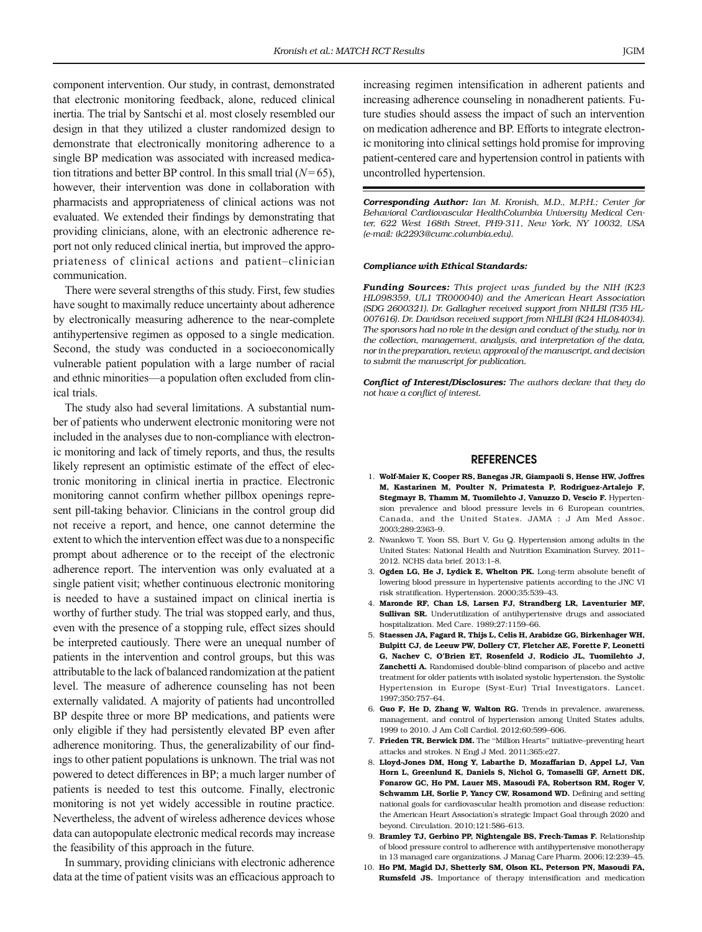<span id="page-5-0"></span>component intervention. Our study, in contrast, demonstrated that electronic monitoring feedback, alone, reduced clinical inertia. The trial by Santschi et al. most closely resembled our design in that they utilized a cluster randomized design to demonstrate that electronically monitoring adherence to a single BP medication was associated with increased medication titrations and better BP control. In this small trial  $(N= 65)$ , however, their intervention was done in collaboration with pharmacists and appropriateness of clinical actions was not evaluated. We extended their findings by demonstrating that providing clinicians, alone, with an electronic adherence report not only reduced clinical inertia, but improved the appropriateness of clinical actions and patient–clinician communication.

There were several strengths of this study. First, few studies have sought to maximally reduce uncertainty about adherence by electronically measuring adherence to the near-complete antihypertensive regimen as opposed to a single medication. Second, the study was conducted in a socioeconomically vulnerable patient population with a large number of racial and ethnic minorities—a population often excluded from clinical trials.

The study also had several limitations. A substantial number of patients who underwent electronic monitoring were not included in the analyses due to non-compliance with electronic monitoring and lack of timely reports, and thus, the results likely represent an optimistic estimate of the effect of electronic monitoring in clinical inertia in practice. Electronic monitoring cannot confirm whether pillbox openings represent pill-taking behavior. Clinicians in the control group did not receive a report, and hence, one cannot determine the extent to which the intervention effect was due to a nonspecific prompt about adherence or to the receipt of the electronic adherence report. The intervention was only evaluated at a single patient visit; whether continuous electronic monitoring is needed to have a sustained impact on clinical inertia is worthy of further study. The trial was stopped early, and thus, even with the presence of a stopping rule, effect sizes should be interpreted cautiously. There were an unequal number of patients in the intervention and control groups, but this was attributable to the lack of balanced randomization at the patient level. The measure of adherence counseling has not been externally validated. A majority of patients had uncontrolled BP despite three or more BP medications, and patients were only eligible if they had persistently elevated BP even after adherence monitoring. Thus, the generalizability of our findings to other patient populations is unknown. The trial was not powered to detect differences in BP; a much larger number of patients is needed to test this outcome. Finally, electronic monitoring is not yet widely accessible in routine practice. Nevertheless, the advent of wireless adherence devices whose data can autopopulate electronic medical records may increase the feasibility of this approach in the future.

In summary, providing clinicians with electronic adherence data at the time of patient visits was an efficacious approach to increasing regimen intensification in adherent patients and increasing adherence counseling in nonadherent patients. Future studies should assess the impact of such an intervention on medication adherence and BP. Efforts to integrate electronic monitoring into clinical settings hold promise for improving patient-centered care and hypertension control in patients with uncontrolled hypertension.

Corresponding Author: Ian M. Kronish, M.D., M.P.H.; Center for Behavioral Cardiovascular HealthColumbia University Medical Center, 622 West 168th Street, PH9-311, New York, NY 10032, USA (e-mail: ik2293@cumc.columbia.edu).

#### Compliance with Ethical Standards:

Funding Sources: This project was funded by the NIH (K23 HL098359, UL1 TR000040) and the American Heart Association (SDG 2600321). Dr. Gallagher received support from NHLBI (T35 HL-007616). Dr. Davidson received support from NHLBI (K24 HL084034). The sponsors had no role in the design and conduct of the study, nor in the collection, management, analysis, and interpretation of the data, nor in the preparation, review, approval of the manuscript, and decision to submit the manuscript for publication.

Conflict of Interest/Disclosures: The authors declare that they do not have a conflict of interest.

#### REFERENCES

- 1. Wolf-Maier K, Cooper RS, Banegas JR, Giampaoli S, Hense HW, Joffres M, Kastarinen M, Poulter N, Primatesta P, Rodriguez-Artalejo F, Stegmayr B, Thamm M, Tuomilehto J, Vanuzzo D, Vescio F. Hypertension prevalence and blood pressure levels in 6 European countries, Canada, and the United States. JAMA : J Am Med Assoc. 2003;289:2363–9.
- 2. Nwankwo T, Yoon SS, Burt V, Gu Q. Hypertension among adults in the United States: National Health and Nutrition Examination Survey, 2011– 2012. NCHS data brief. 2013:1–8.
- 3. Ogden LG, He J, Lydick E, Whelton PK. Long-term absolute benefit of lowering blood pressure in hypertensive patients according to the JNC VI risk stratification. Hypertension. 2000;35:539–43.
- 4. Maronde RF, Chan LS, Larsen FJ, Strandberg LR, Laventurier MF, Sullivan SR. Underutilization of antihypertensive drugs and associated hospitalization. Med Care. 1989;27:1159–66.
- 5. Staessen JA, Fagard R, Thijs L, Celis H, Arabidze GG, Birkenhager WH, Bulpitt CJ, de Leeuw PW, Dollery CT, Fletcher AE, Forette F, Leonetti G, Nachev C, O'Brien ET, Rosenfeld J, Rodicio JL, Tuomilehto J, Zanchetti A. Randomised double-blind comparison of placebo and active treatment for older patients with isolated systolic hypertension. the Systolic Hypertension in Europe (Syst-Eur) Trial Investigators. Lancet. 1997;350:757–64.
- 6. Guo F, He D, Zhang W, Walton RG. Trends in prevalence, awareness, management, and control of hypertension among United States adults, 1999 to 2010. J Am Coll Cardiol. 2012;60:599–606.
- 7. Frieden TR, Berwick DM. The "Million Hearts" initiative–preventing heart attacks and strokes. N Engl J Med. 2011;365:e27.
- 8. Lloyd-Jones DM, Hong Y, Labarthe D, Mozaffarian D, Appel LJ, Van Horn L, Greenlund K, Daniels S, Nichol G, Tomaselli GF, Arnett DK, Fonarow GC, Ho PM, Lauer MS, Masoudi FA, Robertson RM, Roger V, Schwamm LH, Sorlie P, Yancy CW, Rosamond WD. Defining and setting national goals for cardiovascular health promotion and disease reduction: the American Heart Association's strategic Impact Goal through 2020 and beyond. Circulation. 2010;121:586–613.
- 9. Bramley TJ, Gerbino PP, Nightengale BS, Frech-Tamas F. Relationship of blood pressure control to adherence with antihypertensive monotherapy in 13 managed care organizations. J Manag Care Pharm. 2006;12:239–45.
- 10. Ho PM, Magid DJ, Shetterly SM, Olson KL, Peterson PN, Masoudi FA, Rumsfeld JS. Importance of therapy intensification and medication